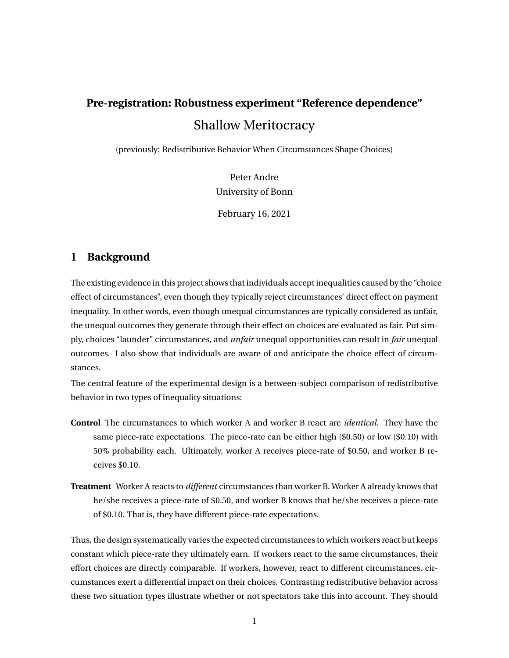# **Pre-registration: Robustness experiment "Reference dependence"** Shallow Meritocracy

(previously: Redistributive Behavior When Circumstances Shape Choices)

Peter Andre University of Bonn

February 16, 2021

# **1 Background**

The existing evidence in this project shows that individuals accept inequalities caused by the "choice effect of circumstances", even though they typically reject circumstances' direct effect on payment inequality. In other words, even though unequal circumstances are typically considered as unfair, the unequal outcomes they generate through their effect on choices are evaluated as fair. Put simply, choices "launder" circumstances, and *unfair* unequal opportunities can result in *fair* unequal outcomes. I also show that individuals are aware of and anticipate the choice effect of circumstances.

The central feature of the experimental design is a between-subject comparison of redistributive behavior in two types of inequality situations:

- **Control** The circumstances to which worker A and worker B react are *identical*. They have the same piece-rate expectations. The piece-rate can be either high (\$0.50) or low (\$0.10) with 50% probability each. Ultimately, worker A receives piece-rate of \$0.50, and worker B receives \$0.10.
- **Treatment** Worker A reacts to *different* circumstances than worker B. Worker A already knows that he/she receives a piece-rate of \$0.50, and worker B knows that he/she receives a piece-rate of \$0.10. That is, they have different piece-rate expectations.

Thus, the design systematically varies the expected circumstances to which workers react but keeps constant which piece-rate they ultimately earn. If workers react to the same circumstances, their effort choices are directly comparable. If workers, however, react to different circumstances, circumstances exert a differential impact on their choices. Contrasting redistributive behavior across these two situation types illustrate whether or not spectators take this into account. They should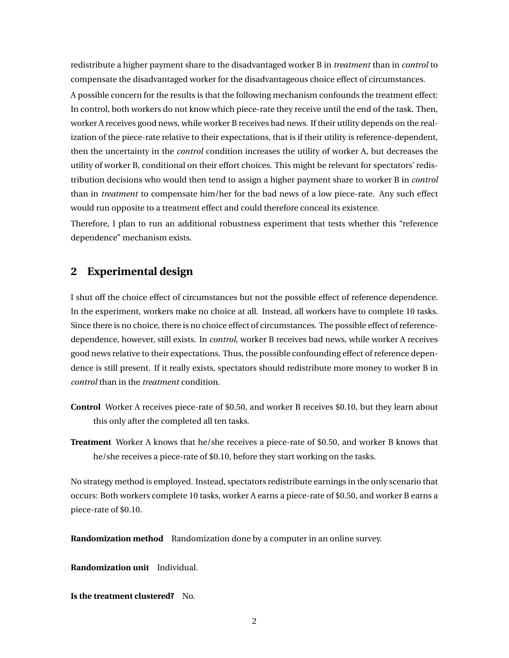redistribute a higher payment share to the disadvantaged worker B in *treatment* than in *control* to compensate the disadvantaged worker for the disadvantageous choice effect of circumstances. A possible concern for the results is that the following mechanism confounds the treatment effect: In control, both workers do not know which piece-rate they receive until the end of the task. Then, worker A receives good news, while worker B receives bad news. If their utility depends on the realization of the piece-rate relative to their expectations, that is if their utility is reference-dependent, then the uncertainty in the *control* condition increases the utility of worker A, but decreases the utility of worker B, conditional on their effort choices. This might be relevant for spectators' redistribution decisions who would then tend to assign a higher payment share to worker B in *control* than in *treatment* to compensate him/her for the bad news of a low piece-rate. Any such effect would run opposite to a treatment effect and could therefore conceal its existence.

Therefore, I plan to run an additional robustness experiment that tests whether this "reference dependence" mechanism exists.

#### **2 Experimental design**

I shut off the choice effect of circumstances but not the possible effect of reference dependence. In the experiment, workers make no choice at all. Instead, all workers have to complete 10 tasks. Since there is no choice, there is no choice effect of circumstances. The possible effect of referencedependence, however, still exists. In *control*, worker B receives bad news, while worker A receives good news relative to their expectations. Thus, the possible confounding effect of reference dependence is still present. If it really exists, spectators should redistribute more money to worker B in *control* than in the *treatment* condition.

- **Control** Worker A receives piece-rate of \$0.50, and worker B receives \$0.10, but they learn about this only after the completed all ten tasks.
- **Treatment** Worker A knows that he/she receives a piece-rate of \$0.50, and worker B knows that he/she receives a piece-rate of \$0.10, before they start working on the tasks.

No strategy method is employed. Instead, spectators redistribute earnings in the only scenario that occurs: Both workers complete 10 tasks, worker A earns a piece-rate of \$0.50, and worker B earns a piece-rate of \$0.10.

**Randomization method** Randomization done by a computer in an online survey.

**Randomization unit** Individual.

**Is the treatment clustered?** No.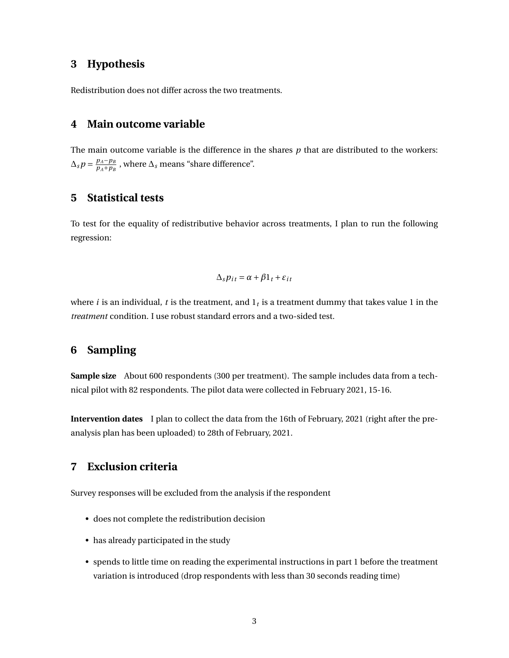#### **3 Hypothesis**

Redistribution does not differ across the two treatments.

#### **4 Main outcome variable**

The main outcome variable is the difference in the shares *p* that are distributed to the workers:  $\Delta_{s} p = \frac{p_{A} - p_{B}}{p_{A} + p_{B}}$  $\frac{p_A-p_B}{p_A+p_B}$ , where  $\Delta_s$  means "share difference".

#### **5 Statistical tests**

To test for the equality of redistributive behavior across treatments, I plan to run the following regression:

$$
\Delta_s p_{it} = \alpha + \beta \mathbb{1}_t + \varepsilon_{it}
$$

where  $i$  is an individual,  $t$  is the treatment, and  $1_t$  is a treatment dummy that takes value  $1$  in the *treatment* condition. I use robust standard errors and a two-sided test.

## **6 Sampling**

**Sample size** About 600 respondents (300 per treatment). The sample includes data from a technical pilot with 82 respondents. The pilot data were collected in February 2021, 15-16.

**Intervention dates** I plan to collect the data from the 16th of February, 2021 (right after the preanalysis plan has been uploaded) to 28th of February, 2021.

## **7 Exclusion criteria**

Survey responses will be excluded from the analysis if the respondent

- does not complete the redistribution decision
- has already participated in the study
- spends to little time on reading the experimental instructions in part 1 before the treatment variation is introduced (drop respondents with less than 30 seconds reading time)